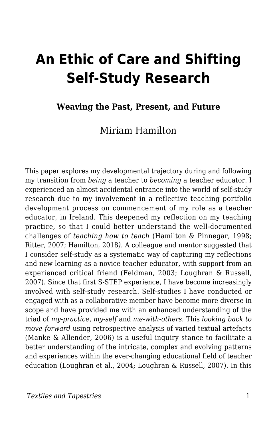# **An Ethic of Care and Shifting Self-Study Research**

#### **Weaving the Past, Present, and Future**

#### Miriam Hamilton

This paper explores my developmental trajectory during and following my transition from *being* a teacher to *becoming* a teacher educator. I experienced an almost accidental entrance into the world of self-study research due to my involvement in a reflective teaching portfolio development process on commencement of my role as a teacher educator, in Ireland. This deepened my reflection on my teaching practice, so that I could better understand the well-documented challenges of *teaching how to teach* (Hamilton & Pinnegar, 1998; Ritter, 2007; Hamilton, 2018*)*. A colleague and mentor suggested that I consider self-study as a systematic way of capturing my reflections and new learning as a novice teacher educator, with support from an experienced critical friend (Feldman, 2003; Loughran & Russell, 2007). Since that first S-STEP experience, I have become increasingly involved with self-study research. Self-studies I have conducted or engaged with as a collaborative member have become more diverse in scope and have provided me with an enhanced understanding of the triad of *my-practice, my-self* and *me-with-others.* This *looking back to move forward* using retrospective analysis of varied textual artefacts (Manke & Allender, 2006) is a useful inquiry stance to facilitate a better understanding of the intricate, complex and evolving patterns and experiences within the ever-changing educational field of teacher education (Loughran et al., 2004; Loughran & Russell, 2007). In this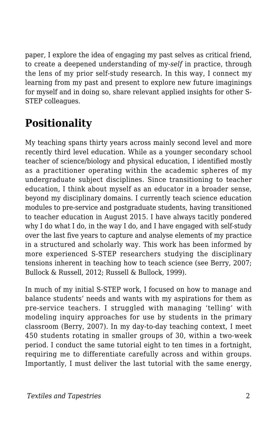paper, I explore the idea of engaging my past selves as critical friend, to create a deepened understanding of my-*self* in practice, through the lens of my prior self-study research. In this way, I connect my learning from my past and present to explore new future imaginings for myself and in doing so, share relevant applied insights for other S-STEP colleagues.

## **Positionality**

My teaching spans thirty years across mainly second level and more recently third level education. While as a younger secondary school teacher of science/biology and physical education, I identified mostly as a practitioner operating within the academic spheres of my undergraduate subject disciplines. Since transitioning to teacher education, I think about myself as an educator in a broader sense, beyond my disciplinary domains. I currently teach science education modules to pre-service and postgraduate students, having transitioned to teacher education in August 2015. I have always tacitly pondered why I do what I do, in the way I do, and I have engaged with self-study over the last five years to capture and analyse elements of my practice in a structured and scholarly way. This work has been informed by more experienced S-STEP researchers studying the disciplinary tensions inherent in teaching how to teach science (see Berry, 2007; Bullock & Russell, 2012; Russell & Bullock, 1999).

In much of my initial S-STEP work, I focused on how to manage and balance students' needs and wants with my aspirations for them as pre-service teachers. I struggled with managing 'telling' with modeling inquiry approaches for use by students in the primary classroom (Berry, 2007). In my day-to-day teaching context, I meet 450 students rotating in smaller groups of 30, within a two-week period. I conduct the same tutorial eight to ten times in a fortnight, requiring me to differentiate carefully across and within groups. Importantly, I must deliver the last tutorial with the same energy,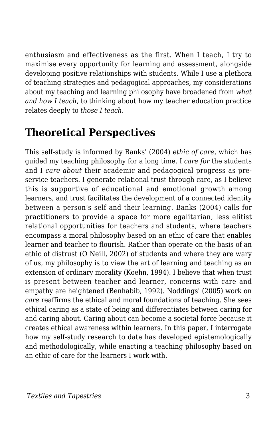enthusiasm and effectiveness as the first. When I teach, I try to maximise every opportunity for learning and assessment, alongside developing positive relationships with students. While I use a plethora of teaching strategies and pedagogical approaches, my considerations about my teaching and learning philosophy have broadened from *what and how I teach*, to thinking about how my teacher education practice relates deeply to *those I teach.*

### **Theoretical Perspectives**

This self-study is informed by Banks' (2004) *ethic of care,* which has guided my teaching philosophy for a long time. I *care for* the students and I *care about* their academic and pedagogical progress as preservice teachers. I generate relational trust through care, as I believe this is supportive of educational and emotional growth among learners, and trust facilitates the development of a connected identity between a person's self and their learning. Banks (2004) calls for practitioners to provide a space for more egalitarian, less elitist relational opportunities for teachers and students, where teachers encompass a moral philosophy based on an ethic of care that enables learner and teacher to flourish. Rather than operate on the basis of an ethic of distrust (O Neill, 2002) of students and where they are wary of us, my philosophy is to view the art of learning and teaching as an extension of ordinary morality (Koehn, 1994). I believe that when trust is present between teacher and learner, concerns with care and empathy are heightened (Benhabib, 1992). Noddings' (2005) work on *care* reaffirms the ethical and moral foundations of teaching. She sees ethical caring as a state of being and differentiates between caring for and caring about. Caring about can become a societal force because it creates ethical awareness within learners. In this paper, I interrogate how my self-study research to date has developed epistemologically and methodologically, while enacting a teaching philosophy based on an ethic of care for the learners I work with.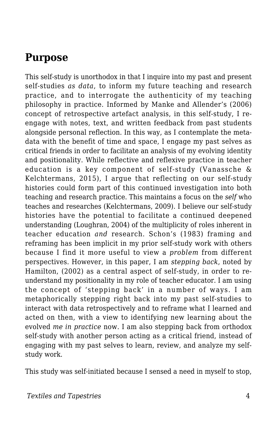#### **Purpose**

This self-study is unorthodox in that I inquire into my past and present self-studies *as data*, to inform my future teaching and research practice, and to interrogate the authenticity of my teaching philosophy in practice. Informed by Manke and Allender's (2006) concept of retrospective artefact analysis, in this self-study, I reengage with notes, text, and written feedback from past students alongside personal reflection. In this way, as I contemplate the metadata with the benefit of time and space, I engage my past selves as critical friends in order to facilitate an analysis of my evolving identity and positionality. While reflective and reflexive practice in teacher education is a key component of self-study (Vanassche & Kelchtermans, 2015), I argue that reflecting on our self-study histories could form part of this continued investigation into both teaching and research practice. This maintains a focus on the *self* who teaches and researches (Kelchtermans, 2009). I believe our self-study histories have the potential to facilitate a continued deepened understanding (Loughran, 2004) of the multiplicity of roles inherent in teacher education *and* research. Schon's (1983) framing and reframing has been implicit in my prior self-study work with others because I find it more useful to view a *problem* from different perspectives. However, in this paper, I am *stepping back*, noted by Hamilton, (2002) as a central aspect of self-study, in order to reunderstand my positionality in my role of teacher educator. I am using the concept of 'stepping back' in a number of ways. I am metaphorically stepping right back into my past self-studies to interact with data retrospectively and to reframe what I learned and acted on then, with a view to identifying new learning about the evolved *me in practice* now. I am also stepping back from orthodox self-study with another person acting as a critical friend, instead of engaging with my past selves to learn, review, and analyze my selfstudy work.

This study was self-initiated because I sensed a need in myself to stop,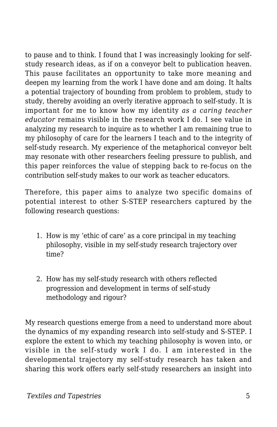to pause and to think. I found that I was increasingly looking for selfstudy research ideas, as if on a conveyor belt to publication heaven. This pause facilitates an opportunity to take more meaning and deepen my learning from the work I have done and am doing. It halts a potential trajectory of bounding from problem to problem, study to study, thereby avoiding an overly iterative approach to self-study. It is important for me to know how my identity *as a caring teacher educator* remains visible in the research work I do. I see value in analyzing my research to inquire as to whether I am remaining true to my philosophy of care for the learners I teach and to the integrity of self-study research. My experience of the metaphorical conveyor belt may resonate with other researchers feeling pressure to publish, and this paper reinforces the value of stepping back to re-focus on the contribution self-study makes to our work as teacher educators.

Therefore, this paper aims to analyze two specific domains of potential interest to other S-STEP researchers captured by the following research questions:

- 1. How is my 'ethic of care' as a core principal in my teaching philosophy, visible in my self-study research trajectory over time?
- 2. How has my self-study research with others reflected progression and development in terms of self-study methodology and rigour?

My research questions emerge from a need to understand more about the dynamics of my expanding research into self-study and S-STEP. I explore the extent to which my teaching philosophy is woven into, or visible in the self-study work I do. I am interested in the developmental trajectory my self-study research has taken and sharing this work offers early self-study researchers an insight into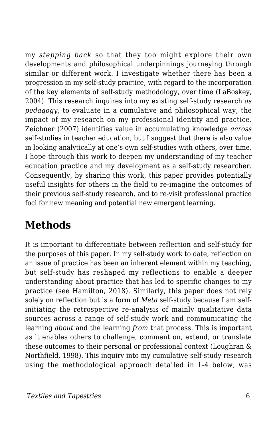my *stepping back* so that they too might explore their own developments and philosophical underpinnings journeying through similar or different work. I investigate whether there has been a progression in my self-study practice, with regard to the incorporation of the key elements of self-study methodology, over time (LaBoskey, 2004). This research inquires into my existing self-study research *as pedagogy*, to evaluate in a cumulative and philosophical way, the impact of my research on my professional identity and practice. Zeichner (2007) identifies value in accumulating knowledge *across* self-studies in teacher education, but I suggest that there is also value in looking analytically at one's own self-studies with others, over time. I hope through this work to deepen my understanding of my teacher education practice and my development as a self-study researcher. Consequently, by sharing this work, this paper provides potentially useful insights for others in the field to re-imagine the outcomes of their previous self-study research, and to re-visit professional practice foci for new meaning and potential new emergent learning.

### **Methods**

It is important to differentiate between reflection and self-study for the purposes of this paper. In my self-study work to date, reflection on an issue of practice has been an inherent element within my teaching, but self-study has reshaped my reflections to enable a deeper understanding about practice that has led to specific changes to my practice (see Hamilton, 2018). Similarly, this paper does not rely solely on reflection but is a form of *Meta* self-study because I am selfinitiating the retrospective re-analysis of mainly qualitative data sources across a range of self-study work and communicating the learning *about* and the learning *from* that process. This is important as it enables others to challenge, comment on, extend, or translate these outcomes to their personal or professional context (Loughran & Northfield, 1998). This inquiry into my cumulative self-study research using the methodological approach detailed in 1-4 below, was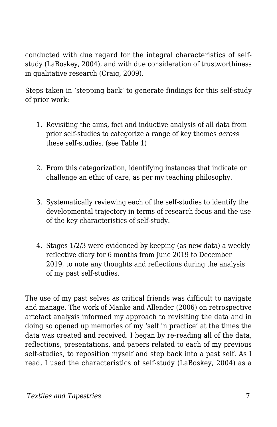conducted with due regard for the integral characteristics of selfstudy (LaBoskey, 2004), and with due consideration of trustworthiness in qualitative research (Craig, 2009).

Steps taken in 'stepping back' to generate findings for this self-study of prior work:

- 1. Revisiting the aims, foci and inductive analysis of all data from prior self-studies to categorize a range of key themes *across* these self-studies. (see Table 1)
- 2. From this categorization, identifying instances that indicate or challenge an ethic of care, as per my teaching philosophy.
- 3. Systematically reviewing each of the self-studies to identify the developmental trajectory in terms of research focus and the use of the key characteristics of self-study.
- 4. Stages 1/2/3 were evidenced by keeping (as new data) a weekly reflective diary for 6 months from June 2019 to December 2019, to note any thoughts and reflections during the analysis of my past self-studies.

The use of my past selves as critical friends was difficult to navigate and manage. The work of Manke and Allender (2006) on retrospective artefact analysis informed my approach to revisiting the data and in doing so opened up memories of my 'self in practice' at the times the data was created and received. I began by re-reading all of the data, reflections, presentations, and papers related to each of my previous self-studies, to reposition myself and step back into a past self. As I read, I used the characteristics of self-study (LaBoskey, 2004) as a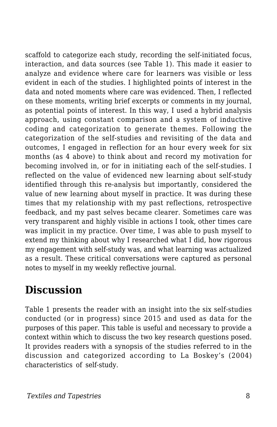scaffold to categorize each study, recording the self-initiated focus, interaction, and data sources (see Table 1). This made it easier to analyze and evidence where care for learners was visible or less evident in each of the studies. I highlighted points of interest in the data and noted moments where care was evidenced. Then, I reflected on these moments, writing brief excerpts or comments in my journal, as potential points of interest. In this way, I used a hybrid analysis approach, using constant comparison and a system of inductive coding and categorization to generate themes. Following the categorization of the self-studies and revisiting of the data and outcomes, I engaged in reflection for an hour every week for six months (as 4 above) to think about and record my motivation for becoming involved in, or for in initiating each of the self-studies. I reflected on the value of evidenced new learning about self-study identified through this re-analysis but importantly, considered the value of new learning about myself in practice. It was during these times that my relationship with my past reflections, retrospective feedback, and my past selves became clearer. Sometimes care was very transparent and highly visible in actions I took, other times care was implicit in my practice. Over time, I was able to push myself to extend my thinking about why I researched what I did, how rigorous my engagement with self-study was, and what learning was actualized as a result. These critical conversations were captured as personal notes to myself in my weekly reflective journal.

### **Discussion**

Table 1 presents the reader with an insight into the six self-studies conducted (or in progress) since 2015 and used as data for the purposes of this paper. This table is useful and necessary to provide a context within which to discuss the two key research questions posed. It provides readers with a synopsis of the studies referred to in the discussion and categorized according to La Boskey's (2004) characteristics of self-study.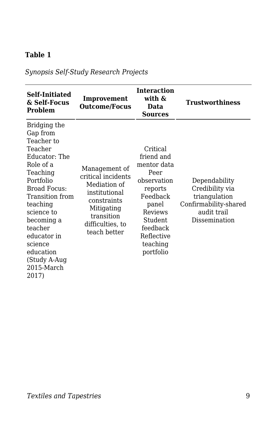#### **Table 1**

*Synopsis Self-Study Research Projects*

| Self-Initiated<br>& Self-Focus<br>Problem                                                                                                                                                                                                                                           | Improvement<br><b>Outcome/Focus</b>                                                                                                                 | <b>Interaction</b><br>with &<br>Data<br><b>Sources</b>                                                                                                                | Trustworthiness                                                                                            |
|-------------------------------------------------------------------------------------------------------------------------------------------------------------------------------------------------------------------------------------------------------------------------------------|-----------------------------------------------------------------------------------------------------------------------------------------------------|-----------------------------------------------------------------------------------------------------------------------------------------------------------------------|------------------------------------------------------------------------------------------------------------|
| Bridging the<br>Gap from<br>Teacher to<br>Teacher<br>Educator: The<br>Role of a<br>Teaching<br>Portfolio<br><b>Broad Focus:</b><br>Transition from<br>teaching<br>science to<br>becoming a<br>teacher<br>educator in<br>science<br>education<br>(Study A-Aug<br>2015-March<br>2017) | Management of<br>critical incidents<br>Mediation of<br>institutional<br>constraints<br>Mitigating<br>transition<br>difficulties, to<br>teach better | Critical<br>friend and<br>mentor data<br>Peer<br>observation<br>reports<br>Feedback<br>panel<br>Reviews<br>Student<br>feedback<br>Reflective<br>teaching<br>portfolio | Dependability<br>Credibility via<br>triangulation<br>Confirmability-shared<br>audit trail<br>Dissemination |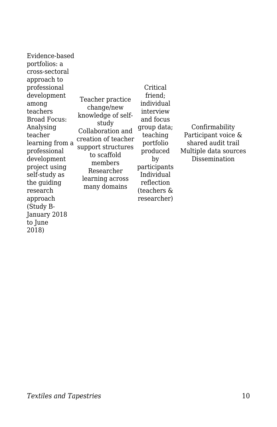Evidence-based portfolios: a cross-sectoral approach to professional development among teachers Broad Focus: Analysing teacher learning from a professional development project using self-study as the guiding research approach (Study B-January 2018 to June 2018)

Teacher practice change/new knowledge of selfstudy Collaboration and creation of teacher support structures to scaffold members Researcher learning across many domains

Critical friend; individual interview and focus group data; teaching portfolio produced by participants Individual reflection (teachers &

researcher)

Confirmability Participant voice & shared audit trail Multiple data sources Dissemination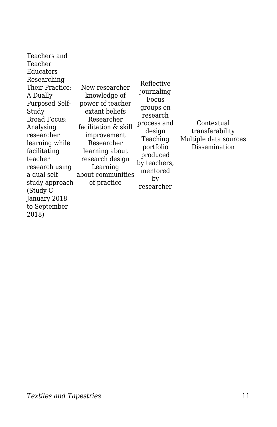| Teachers and<br>Teacher<br>Educators<br>Researching<br>Their Practice:<br>A Dually<br>Purposed Self-<br>Study<br>Broad Focus:<br>Analysing<br>researcher<br>learning while<br>facilitating<br>teacher<br>research using<br>a dual self-<br>study approach<br>(Study C-<br>January 2018<br>to September | New researcher<br>knowledge of<br>power of teacher<br>extant beliefs<br>Researcher<br>facilitation & skill<br>improvement<br>Researcher<br>learning about<br>research design<br>Learning<br>about communities<br>of practice | Reflective<br>journaling<br>Focus<br>groups on<br>research<br>process and<br>design<br>Teaching<br>portfolio<br>produced<br>by teachers,<br>mentored<br>by<br>researcher | Contextual<br>transferability<br>Multiple data sources<br>Dissemination |
|--------------------------------------------------------------------------------------------------------------------------------------------------------------------------------------------------------------------------------------------------------------------------------------------------------|------------------------------------------------------------------------------------------------------------------------------------------------------------------------------------------------------------------------------|--------------------------------------------------------------------------------------------------------------------------------------------------------------------------|-------------------------------------------------------------------------|
| 2018)                                                                                                                                                                                                                                                                                                  |                                                                                                                                                                                                                              |                                                                                                                                                                          |                                                                         |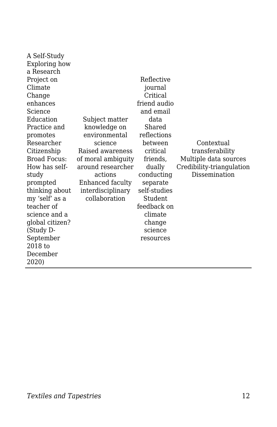| A Self-Study    |                    |              |                           |
|-----------------|--------------------|--------------|---------------------------|
| Exploring how   |                    |              |                           |
| a Research      |                    |              |                           |
| Project on      |                    | Reflective   |                           |
| Climate         |                    | journal      |                           |
| Change          |                    | Critical     |                           |
| enhances        |                    | friend audio |                           |
| Science         |                    | and email    |                           |
| Education       | Subject matter     | data         |                           |
| Practice and    | knowledge on       | Shared       |                           |
| promotes        | environmental      | reflections  |                           |
| Researcher      | science            | between      | Contextual                |
| Citizenship     | Raised awareness   | critical     | transferability           |
| Broad Focus:    | of moral ambiguity | friends,     | Multiple data sources     |
| How has self-   | around researcher  | dually       | Credibility-triangulation |
| study           | actions            | conducting   | Dissemination             |
| prompted        | Enhanced faculty   | separate     |                           |
| thinking about  | interdisciplinary  | self-studies |                           |
| my 'self' as a  | collaboration      | Student      |                           |
| teacher of      |                    | feedback on  |                           |
| science and a   |                    | climate      |                           |
| global citizen? |                    | change       |                           |
| (Study D-       |                    | science      |                           |
| September       |                    | resources    |                           |
| 2018 to         |                    |              |                           |
| December        |                    |              |                           |
| 2020)           |                    |              |                           |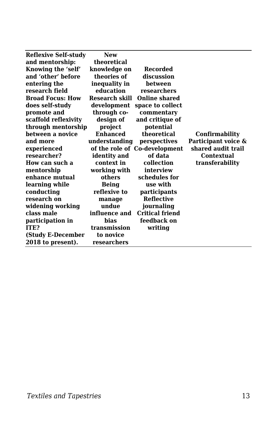| Reflexive Self-study    | <b>New</b>      |                               |                     |
|-------------------------|-----------------|-------------------------------|---------------------|
| and mentorship:         | theoretical     |                               |                     |
| Knowing the 'self'      | knowledge on    | <b>Recorded</b>               |                     |
| and 'other' before      | theories of     | discussion                    |                     |
| entering the            | inequality in   | between                       |                     |
| research field          | education       | researchers                   |                     |
| <b>Broad Focus: How</b> |                 | Research skill Online shared  |                     |
| does self-study         |                 | development space to collect  |                     |
| promote and             | through co-     | commentary                    |                     |
| scaffold reflexivity    | design of       | and critique of               |                     |
| through mentorship      | project         | potential                     |                     |
| between a novice        | <b>Enhanced</b> | theoretical                   | Confirmability      |
| and more                | understanding   | perspectives                  | Participant voice & |
| experienced             |                 | of the role of Co-development | shared audit trail  |
| researcher?             | identity and    | of data                       | <b>Contextual</b>   |
| How can such a          | context in      | collection                    | transferability     |
| mentorship              | working with    | interview                     |                     |
| enhance mutual          | others          | schedules for                 |                     |
| learning while          | <b>Being</b>    | use with                      |                     |
| conducting              | reflexive to    | participants                  |                     |
| research on             | manage          | <b>Reflective</b>             |                     |
| widening working        | undue           | journaling                    |                     |
| class male              | influence and   | <b>Critical friend</b>        |                     |
| participation in        | <b>bias</b>     | feedback on                   |                     |
| ITE?                    | transmission    | writing                       |                     |
| (Study E-December       | to novice       |                               |                     |
| 2018 to present).       | researchers     |                               |                     |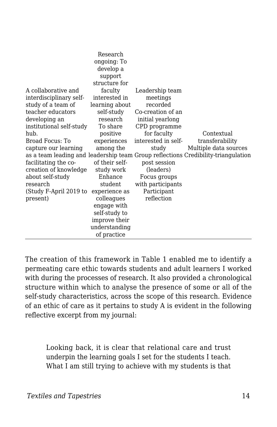|                          | Research<br>ongoing: To<br>develop a |                     |                                                                                   |
|--------------------------|--------------------------------------|---------------------|-----------------------------------------------------------------------------------|
|                          | support                              |                     |                                                                                   |
|                          | structure for                        |                     |                                                                                   |
| A collaborative and      | faculty                              | Leadership team     |                                                                                   |
| interdisciplinary self-  | interested in                        | meetings            |                                                                                   |
| study of a team of       | learning about                       | recorded            |                                                                                   |
| teacher educators        | self-study                           | Co-creation of an   |                                                                                   |
| developing an            | research                             | initial yearlong    |                                                                                   |
| institutional self-study | To share                             | CPD programme       |                                                                                   |
| hub.                     | positive                             | for faculty         | Contextual                                                                        |
| Broad Focus: To          | experiences                          | interested in self- | transferability                                                                   |
| capture our learning     | among the                            | study               | Multiple data sources                                                             |
|                          |                                      |                     | as a team leading and leadership team Group reflections Credibility-triangulation |
| facilitating the co-     | of their self-                       | post session        |                                                                                   |
| creation of knowledge    | study work                           | (leaders)           |                                                                                   |
| about self-study         | Enhance                              | Focus groups        |                                                                                   |
| research                 | student                              | with participants   |                                                                                   |
| (Study F-April 2019 to   | experience as                        | Participant         |                                                                                   |
| present)                 | colleagues                           | reflection          |                                                                                   |
|                          | engage with                          |                     |                                                                                   |
|                          | self-study to                        |                     |                                                                                   |
|                          | improve their                        |                     |                                                                                   |
|                          | understanding                        |                     |                                                                                   |
|                          | of practice                          |                     |                                                                                   |

The creation of this framework in Table 1 enabled me to identify a permeating care ethic towards students and adult learners I worked with during the processes of research. It also provided a chronological structure within which to analyse the presence of some or all of the self-study characteristics, across the scope of this research. Evidence of an ethic of care as it pertains to study A is evident in the following reflective excerpt from my journal:

Looking back, it is clear that relational care and trust underpin the learning goals I set for the students I teach. What I am still trying to achieve with my students is that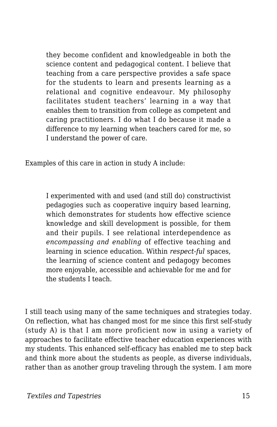they become confident and knowledgeable in both the science content and pedagogical content. I believe that teaching from a care perspective provides a safe space for the students to learn and presents learning as a relational and cognitive endeavour. My philosophy facilitates student teachers' learning in a way that enables them to transition from college as competent and caring practitioners. I do what I do because it made a difference to my learning when teachers cared for me, so I understand the power of care.

Examples of this care in action in study A include:

I experimented with and used (and still do) constructivist pedagogies such as cooperative inquiry based learning, which demonstrates for students how effective science knowledge and skill development is possible, for them and their pupils. I see relational interdependence as *encompassing and enabling* of effective teaching and learning in science education. Within *respect-ful* spaces, the learning of science content and pedagogy becomes more enjoyable, accessible and achievable for me and for the students I teach.

I still teach using many of the same techniques and strategies today. On reflection, what has changed most for me since this first self-study (study A) is that I am more proficient now in using a variety of approaches to facilitate effective teacher education experiences with my students. This enhanced self-efficacy has enabled me to step back and think more about the students as people, as diverse individuals, rather than as another group traveling through the system. I am more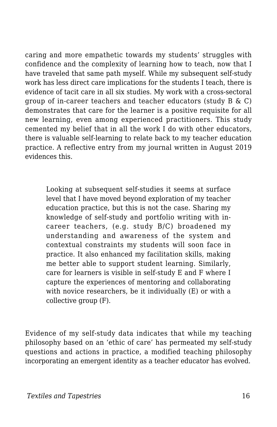caring and more empathetic towards my students' struggles with confidence and the complexity of learning how to teach, now that I have traveled that same path myself. While my subsequent self-study work has less direct care implications for the students I teach, there is evidence of tacit care in all six studies. My work with a cross-sectoral group of in-career teachers and teacher educators (study  $B \& C$ ) demonstrates that care for the learner is a positive requisite for all new learning, even among experienced practitioners. This study cemented my belief that in all the work I do with other educators, there is valuable self-learning to relate back to my teacher education practice. A reflective entry from my journal written in August 2019 evidences this.

Looking at subsequent self-studies it seems at surface level that I have moved beyond exploration of my teacher education practice, but this is not the case. Sharing my knowledge of self-study and portfolio writing with incareer teachers, (e.g. study B/C) broadened my understanding and awareness of the system and contextual constraints my students will soon face in practice. It also enhanced my facilitation skills, making me better able to support student learning. Similarly, care for learners is visible in self-study E and F where I capture the experiences of mentoring and collaborating with novice researchers, be it individually (E) or with a collective group (F).

Evidence of my self-study data indicates that while my teaching philosophy based on an 'ethic of care' has permeated my self-study questions and actions in practice, a modified teaching philosophy incorporating an emergent identity as a teacher educator has evolved.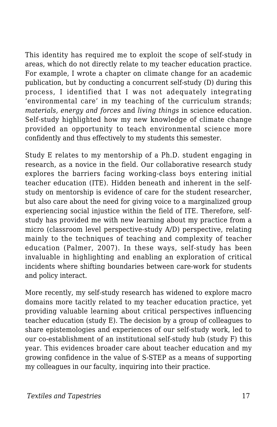This identity has required me to exploit the scope of self-study in areas, which do not directly relate to my teacher education practice. For example, I wrote a chapter on climate change for an academic publication, but by conducting a concurrent self-study (D) during this process, I identified that I was not adequately integrating 'environmental care' in my teaching of the curriculum strands; *materials, energy and forces* and *living things* in science education. Self-study highlighted how my new knowledge of climate change provided an opportunity to teach environmental science more confidently and thus effectively to my students this semester.

Study E relates to my mentorship of a Ph.D. student engaging in research, as a novice in the field. Our collaborative research study explores the barriers facing working-class boys entering initial teacher education (ITE). Hidden beneath and inherent in the selfstudy on mentorship is evidence of care for the student researcher, but also care about the need for giving voice to a marginalized group experiencing social injustice within the field of ITE. Therefore, selfstudy has provided me with new learning about my practice from a micro (classroom level perspective-study A/D) perspective, relating mainly to the techniques of teaching and complexity of teacher education (Palmer, 2007). In these ways, self-study has been invaluable in highlighting and enabling an exploration of critical incidents where shifting boundaries between care-work for students and policy interact.

More recently, my self-study research has widened to explore macro domains more tacitly related to my teacher education practice, yet providing valuable learning about critical perspectives influencing teacher education (study E). The decision by a group of colleagues to share epistemologies and experiences of our self-study work, led to our co-establishment of an institutional self-study hub (study F) this year. This evidences broader care about teacher education and my growing confidence in the value of S-STEP as a means of supporting my colleagues in our faculty, inquiring into their practice.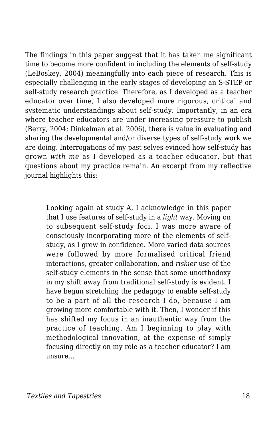The findings in this paper suggest that it has taken me significant time to become more confident in including the elements of self-study (LeBoskey, 2004) meaningfully into each piece of research. This is especially challenging in the early stages of developing an S-STEP or self-study research practice. Therefore, as I developed as a teacher educator over time, I also developed more rigorous, critical and systematic understandings about self-study. Importantly, in an era where teacher educators are under increasing pressure to publish (Berry, 2004; Dinkelman et al. 2006), there is value in evaluating and sharing the developmental and/or diverse types of self-study work we are doing. Interrogations of my past selves evinced how self-study has grown *with me* as I developed as a teacher educator, but that questions about my practice remain. An excerpt from my reflective journal highlights this:

Looking again at study A, I acknowledge in this paper that I use features of self-study in a *light* way. Moving on to subsequent self-study foci, I was more aware of consciously incorporating more of the elements of selfstudy, as I grew in confidence. More varied data sources were followed by more formalised critical friend interactions, greater collaboration, and *riskier* use of the self-study elements in the sense that some unorthodoxy in my shift away from traditional self-study is evident. I have begun stretching the pedagogy to enable self-study to be a part of all the research I do, because I am growing more comfortable with it. Then, I wonder if this has shifted my focus in an inauthentic way from the practice of teaching. Am I beginning to play with methodological innovation, at the expense of simply focusing directly on my role as a teacher educator? I am unsure…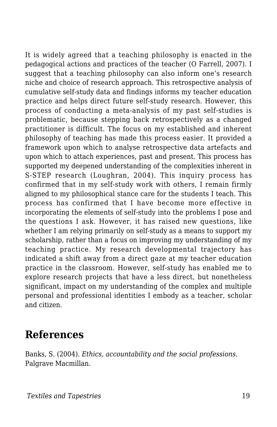It is widely agreed that a teaching philosophy is enacted in the pedagogical actions and practices of the teacher (O Farrell, 2007). I suggest that a teaching philosophy can also inform one's research niche and choice of research approach. This retrospective analysis of cumulative self-study data and findings informs my teacher education practice and helps direct future self-study research. However, this process of conducting a meta-analysis of my past self-studies is problematic, because stepping back retrospectively as a changed practitioner is difficult. The focus on my established and inherent philosophy of teaching has made this process easier. It provided a framework upon which to analyse retrospective data artefacts and upon which to attach experiences, past and present. This process has supported my deepened understanding of the complexities inherent in S-STEP research (Loughran, 2004). This inquiry process has confirmed that in my self-study work with others, I remain firmly aligned to my philosophical stance care for the students I teach. This process has confirmed that I have become more effective in incorporating the elements of self-study into the problems I pose and the questions I ask. However, it has raised new questions, like whether I am relying primarily on self-study as a means to support my scholarship, rather than a focus on improving my understanding of my teaching practice. My research developmental trajectory has indicated a shift away from a direct gaze at my teacher education practice in the classroom. However, self-study has enabled me to explore research projects that have a less direct, but nonetheless significant, impact on my understanding of the complex and multiple personal and professional identities I embody as a teacher, scholar and citizen.

#### **References**

Banks, S. (2004). *Ethics, accountability and the social professions.* Palgrave Macmillan.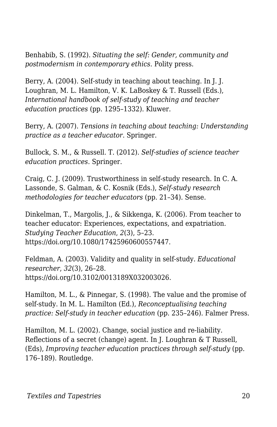Benhabib, S. (1992). *Situating the self: Gender, community and postmodernism in contemporary ethics.* Polity press.

Berry, A. (2004). Self-study in teaching about teaching. In J. J. Loughran, M. L. Hamilton, V. K. LaBoskey & T. Russell (Eds.), *International handbook of self-study of teaching and teacher education practices* (pp. 1295–1332). Kluwer.

Berry, A. (2007). *Tensions in teaching about teaching: Understanding practice as a teacher educator*. Springer.

Bullock, S. M., & Russell. T. (2012). *Self-studies of science teacher education practices.* Springer.

Craig, C. J. (2009). Trustworthiness in self-study research. In C. A. Lassonde, S. Galman, & C. Kosnik (Eds.), *Self-study research methodologies for teacher educators* (pp. 21–34). Sense.

Dinkelman, T., Margolis, J., & Sikkenga, K. (2006). From teacher to teacher educator: Experiences, expectations, and expatriation. *Studying Teacher Education*, *2*(3), 5–23. https://doi.org/10.1080/17425960600557447.

Feldman, A. (2003). Validity and quality in self-study. *Educational researcher*, *32*(3), 26–28. https://doi.org/10.3102/0013189X032003026.

Hamilton, M. L., & Pinnegar, S. (1998). The value and the promise of self-study. In M. L. Hamilton (Ed.), *Reconceptualising teaching practice: Self-study in teacher education* (pp. 235–246). Falmer Press.

Hamilton, M. L. (2002). Change, social justice and re-liability. Reflections of a secret (change) agent. In J. Loughran & T Russell, (Eds), *Improving teacher education practices through self-study* (pp. 176–189). Routledge.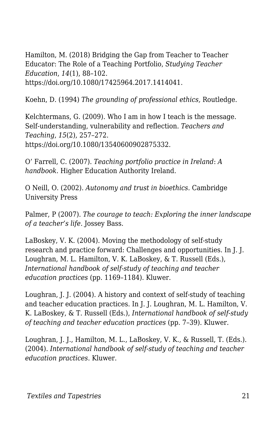Hamilton, M. (2018) Bridging the Gap from Teacher to Teacher Educator: The Role of a Teaching Portfolio, *Studying Teacher Education*, *14*(1), 88–102. https://doi.org/10.1080/17425964.2017.1414041.

Koehn, D. (1994) *The grounding of professional ethics,* Routledge.

Kelchtermans, G. (2009). Who I am in how I teach is the message. Self-understanding, vulnerability and reflection. *Teachers and Teaching*, *15*(2), 257–272. https://doi.org/10.1080/13540600902875332.

O' Farrell, C. (2007). *Teaching portfolio practice in Ireland*: *A handbook.* Higher Education Authority Ireland.

O Neill, O. (2002). *Autonomy and trust in bioethics.* Cambridge University Press

Palmer, P (2007). *The courage to teach: Exploring the inner landscape of a teacher's life*. Jossey Bass.

LaBoskey, V. K. (2004). Moving the methodology of self-study research and practice forward: Challenges and opportunities. In J. J. Loughran, M. L. Hamilton, V. K. LaBoskey, & T. Russell (Eds.), *International handbook of self-study of teaching and teacher education practices* (pp. 1169–1184). Kluwer.

Loughran, J. J. (2004). A history and context of self-study of teaching and teacher education practices. In J. J. Loughran, M. L. Hamilton, V. K. LaBoskey, & T. Russell (Eds.), *International handbook of self-study of teaching and teacher education practices* (pp. 7–39). Kluwer.

Loughran, J. J., Hamilton, M. L., LaBoskey, V. K., & Russell, T. (Eds.). (2004). *International handbook of self-study of teaching and teacher education practices*. Kluwer.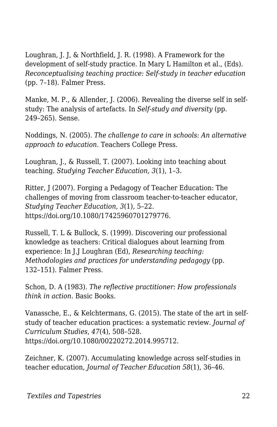Loughran, J. J, & Northfield, J. R. (1998). A Framework for the development of self-study practice. In Mary L Hamilton et al., (Eds). *Reconceptualising teaching practice: Self-study in teacher education* (pp. 7–18). Falmer Press.

Manke, M. P., & Allender, J. (2006). Revealing the diverse self in selfstudy: The analysis of artefacts. In *Self-study and diversity* (pp. 249–265). Sense.

Noddings, N. (2005). *The challenge to care in schools: An alternative approach to education.* Teachers College Press.

Loughran, J., & Russell, T. (2007). Looking into teaching about teaching. *Studying Teacher Education, 3*(1), 1–3.

Ritter, J (2007). Forging a Pedagogy of Teacher Education: The challenges of moving from classroom teacher-to-teacher educator, *Studying Teacher Education*, *3*(1), 5–22. https://doi.org/10.1080/17425960701279776.

Russell, T. L & Bullock, S. (1999). Discovering our professional knowledge as teachers: Critical dialogues about learning from experience: In J.J Loughran (Ed), *Researching teaching: Methodologies and practices for understanding pedagogy* (pp. 132–151). Falmer Press.

Schon, D. A (1983). *The reflective practitioner: How professionals think in action*. Basic Books.

Vanassche, E., & Kelchtermans, G. (2015). The state of the art in selfstudy of teacher education practices: a systematic review. *Journal of Curriculum Studies*, *47*(4), 508–528. https://doi.org/10.1080/00220272.2014.995712.

Zeichner, K. (2007). Accumulating knowledge across self-studies in teacher education, *Journal of Teacher Education 58*(1), 36–46.